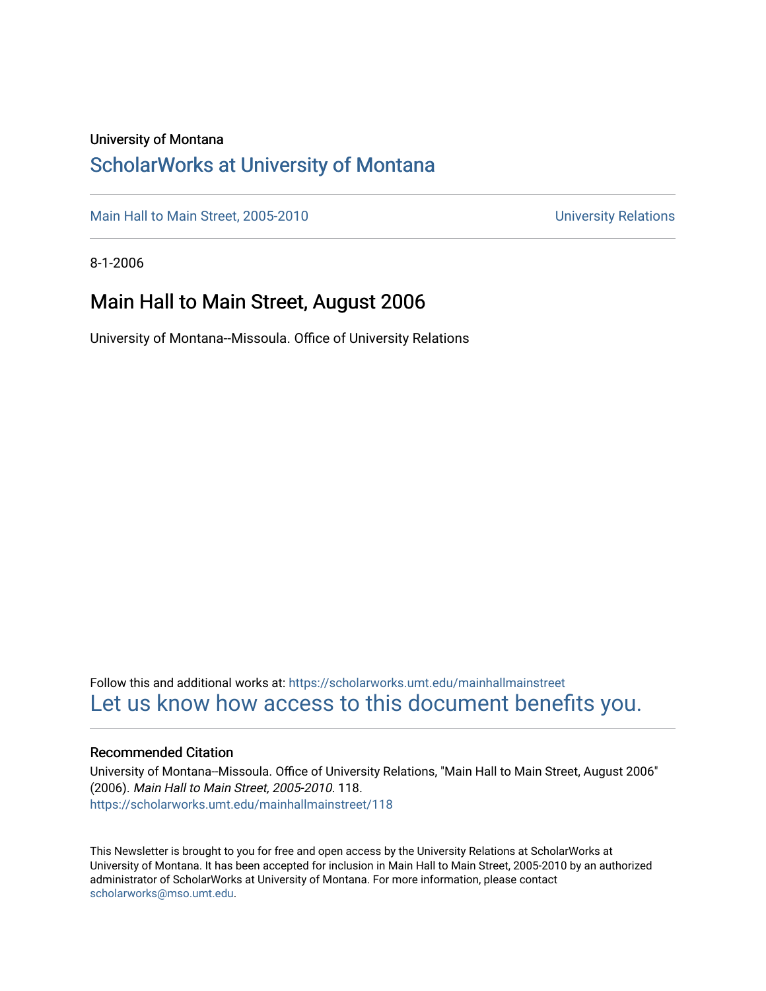### University of Montana

### [ScholarWorks at University of Montana](https://scholarworks.umt.edu/)

[Main Hall to Main Street, 2005-2010](https://scholarworks.umt.edu/mainhallmainstreet) Main Hall to Main Street, 2005-2010

8-1-2006

### Main Hall to Main Street, August 2006

University of Montana--Missoula. Office of University Relations

Follow this and additional works at: [https://scholarworks.umt.edu/mainhallmainstreet](https://scholarworks.umt.edu/mainhallmainstreet?utm_source=scholarworks.umt.edu%2Fmainhallmainstreet%2F118&utm_medium=PDF&utm_campaign=PDFCoverPages) [Let us know how access to this document benefits you.](https://goo.gl/forms/s2rGfXOLzz71qgsB2) 

### Recommended Citation

University of Montana--Missoula. Office of University Relations, "Main Hall to Main Street, August 2006" (2006). Main Hall to Main Street, 2005-2010. 118. [https://scholarworks.umt.edu/mainhallmainstreet/118](https://scholarworks.umt.edu/mainhallmainstreet/118?utm_source=scholarworks.umt.edu%2Fmainhallmainstreet%2F118&utm_medium=PDF&utm_campaign=PDFCoverPages)

This Newsletter is brought to you for free and open access by the University Relations at ScholarWorks at University of Montana. It has been accepted for inclusion in Main Hall to Main Street, 2005-2010 by an authorized administrator of ScholarWorks at University of Montana. For more information, please contact [scholarworks@mso.umt.edu.](mailto:scholarworks@mso.umt.edu)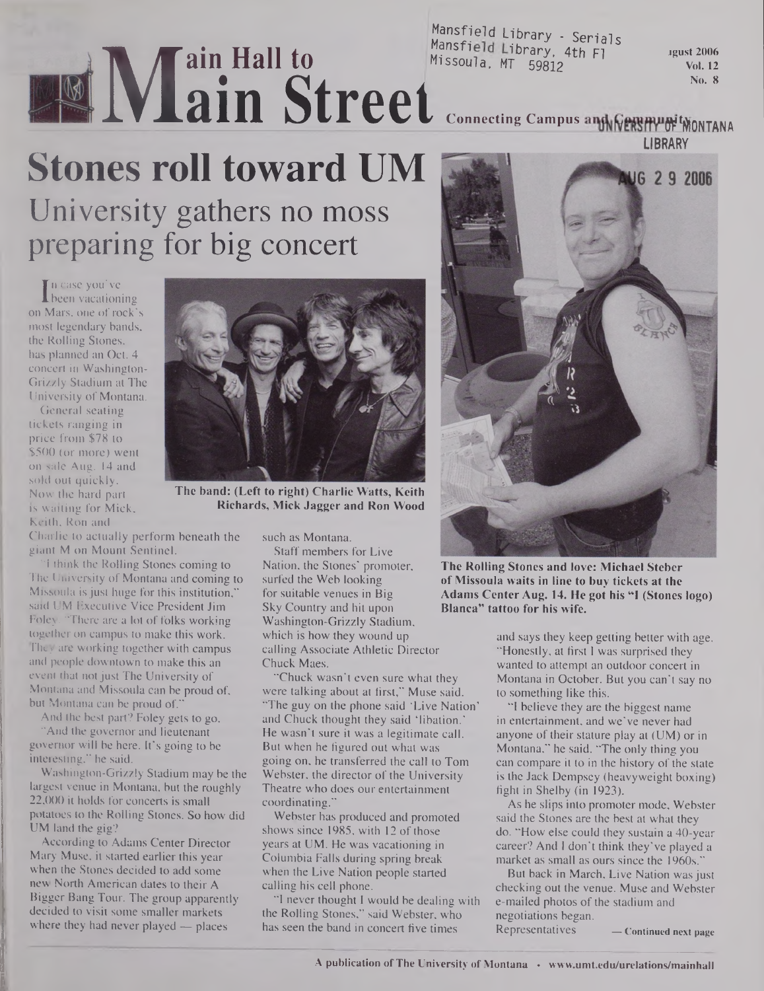## **M ain Hall to** Mansfield Library - Ser **ain Street**

Mansfield Library - Serials

**jgust 2006 Vol. 12 No. 8**

### **L** Connecting Campus and WERSHWOF MONTAN **LIBRARY**

# **Stones roll toward UM**

University gathers no moss preparing for big concert

In case you've<br>been vacation<br>Mars, one of ro been vacationing on Mars, one of rock's most legendary bands, the Rolling Stones, has planned an Oct. 4 concert in Washington-Grizzly Stadium at The University of Montana.

General seating tickets ranging in price from \$78 to \$500 (or more) went on sale Aug. 14 and sold out quickly. Now the hard part is waiting for Mick, Keith, Ron and



**The band: (Left to right) Charlie Watts, Keith Richards, Mick Jagger and Ron Wood**

Charlie to actually perform beneath the giant M on Mount Sentinel.

"I think the Rolling Stones coming to The University of Montana and coming to Missoula is just huge for this institution," said UM Executive Vice President Jim Foley. "There are a lot of folks working together on campus to make this work. They are working together with campus and people downtown to make this an event that not just The University of Montana and Missoula can be proud of, but Montana can be proud of."

And the best part? Foley gets to go. "And the governor and lieutenant governor will be here. It's going to be interesting," he said.

Washington-Grizzly Stadium may be the largest venue in Montana, but the roughly 22,000 it holds for concerts is small potatoes to the Rolling Stones. So how did UM land the gig?

According to Adams Center Director Mary Muse, it started earlier this year when the Stones decided to add some new North American dates to their A Bigger Bang Tour. The group apparently decided to visit some smaller markets where they had never played — places

such as Montana.

Staff members for Live Nation, the Stones' promoter, surfed the Web looking for suitable venues in Big Sky Country and hit upon Washington-Grizzly Stadium, which is how they wound up calling Associate Athletic Director Chuck Maes.

"Chuck wasn't even sure what they were talking about at first," Muse said. "The guy on the phone said 'Live Nation' and Chuck thought they said 'libation.' He wasn't sure it was a legitimate call. But when he figured out what was going on, he transferred the call to Tom Webster, the director of the University Theatre who does our entertainment coordinating."

Webster has produced and promoted shows since 1985, with 12 of those years at UM. He was vacationing in Columbia Falls during spring break when the Live Nation people started calling his cell phone.

"I never thought I would be dealing with the Rolling Stones," said Webster, who has seen the band in concert five times



**The Roiling Stones and love: Michael Steber ofMissoula waits in line to buy tickets at the Adams Center Aug. 14. He got his "I (Stones logo) Blanca" tattoo for his wife.**

and says they keep getting better with age. "Honestly, at first I was surprised they wanted to attempt an outdoor concert in Montana in October. But you can't say no to something like this.

"I believe they are the biggest name in entertainment, and we've never had anyone of their stature play at (UM) or in Montana," he said. "The only thing you can compare it to in the history of the state is the Jack Dempsey (heavyweight boxing) fight in Shelby (in 1923).

As he slips into promoter mode, Webster said the Stones are the best at what they do. "How else could they sustain a 40-year career? And I don't think they've played a market as small as ours since the 1960s."

But back in March, Live Nation was just checking out the venue. Muse and Webster e-mailed photos of the stadium and negotiations began.

Representatives **— Continued next page**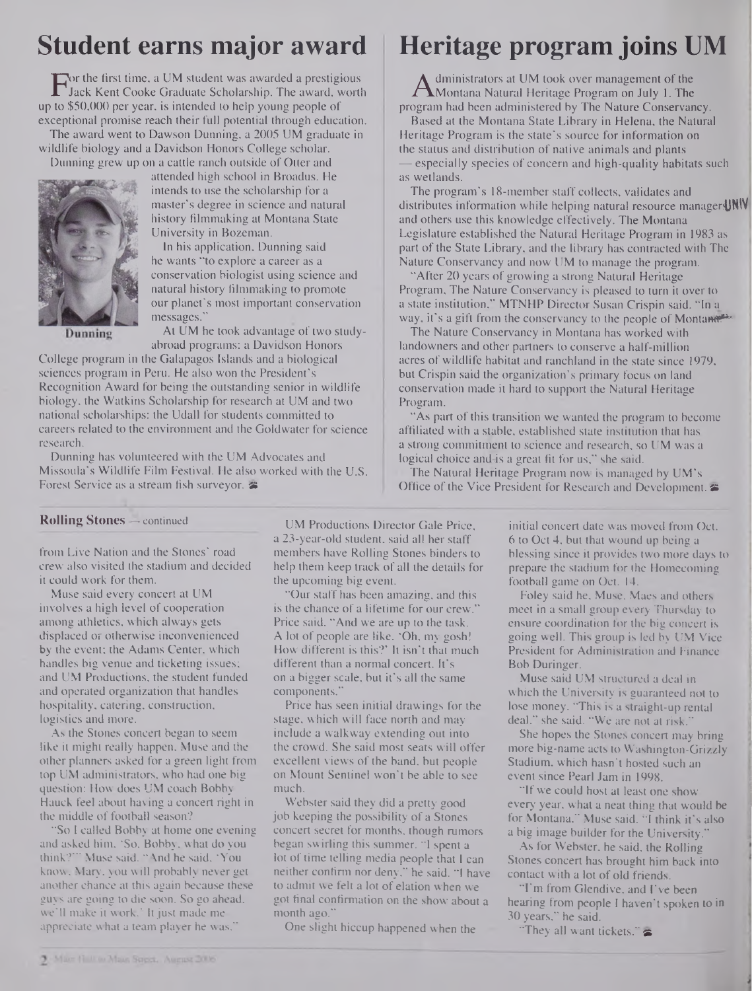## **Student earns major award**

For the first time, a UM student was awarded a prestigious<br>Jack Kent Cooke Graduate Scholarship. The award, wort<br>to \$50,000 per year, is intended to help young people of Jack Kent Cooke Graduate Scholarship. The award, worth up to \$50,000 per year, is intended to help young people of exceptional promise reach their full potential through education.

The award went to Dawson Dunning, a 2005 UM graduate in wildlife biology and a Davidson Honors College scholar.

Dunning grew up on a cattle ranch outside of Otter and



attended high school in Broadus. He intends to use the scholarship for a master's degree in science and natural history filmmaking at Montana State University in Bozeman.

In his application, Dunning said he wants "to explore a career as a conservation biologist using science and natural history filmmaking to promote our planet's most important conservation messages."

Dunning

At UM he took advantage of two studyabroad programs: a Davidson Honors

College program in the Galapagos Islands and a biological sciences program in Peru. He also won the President's Recognition Award for being the outstanding senior in wildlife biology, the Watkins Scholarship for research at UM and two national scholarships: the Udall for students committed to careers related to the environment and the Goldwater for science research.

Dunning has volunteered with the UM Advocates and Missoula's Wildlife Film Festival. He also worked with the U.S. Forest Service as a stream fish surveyor. *a*

## **Heritage program joins UM**

A diministrators at UM took over management of the<br>Montana Natural Heritage Program on July 1. The<br>param had been administered by The Nature Conservar dministrators at UM took over management of the program had been administered by The Nature Conservancy.

Based at the Montana State Library in Helena, the Natural Heritage Program is the state's source for information on the status and distribution of native animals and plants — especially species of concern and high-quality habitats such as wetlands.

The program's 18-member staff collects, validates and distributes information while helping natural resource manager!JNIV and others use this knowledge effectively. The Montana Legislature established the Natural Heritage Program in 1983 as part of the State Library, and the library has contracted with The Nature Conservancy and now UM to manage the program.

"After 20 years of growing a strong Natural Heritage Program, The Nature Conservancy is pleased to turn it over to a state institution," MTNHP Director Susan Crispin said. "In a way, it's a gift from the conservancy to the people of Montanetthe

The Nature Conservancy in Montana has worked with landowners and other partners to conserve a half-million acres of wildlife habitat and ranchland in the state since 1979, but Crispin said the organization's primary focus on land conservation made it hard to support the Natural Heritage Program.

"As part of this transition we wanted the program to become affiliated with a stable, established state institution that has a strong commitment to science and research, so UM was a logical choice and is a great fit for us," she said.

The Natural Heritage Program now is managed by UM's Office of the Vice President for Research and Development.

### **Rolling Stones —** continued

from Live Nation and the Stones' road crew also visited the stadium and decided it could work for them.

Muse said every concert at UM involves a high level of cooperation among athletics, which always gets displaced or otherwise inconvenienced by the event; the Adams Center, which handles big venue and ticketing issues; and UM Productions, the student funded and operated organization that handles hospitality, catering, construction, logistics and more.

As the Stones concert began to seem like it might really happen. Muse and the other planners asked for a green light from top UM administrators, who had one big question: How does UM coach Bobby Hauck feel about having a concert right in the middle of football season?

"So I called Bobby at home one evening and asked him, 'So, Bobby, what do you think?'" Muse said. "And he said, 'You know, Mary', you will probably never get another chance at this again because these guys are going to die soon. So go ahead, we'll make it work.' Itjust made me appreciate what a team player he was."

UM Productions Director Gale Price, a 23-year-old student, said all her staff members have Rolling Stones binders to help them keep track of all the details for the upcoming big event.

"Our staff has been amazing, and this is the chance of a lifetime for our crew,' Price said. "And we are up to the task. A lot of people are like, 'Oh, my gosh! How different is this?' It isn't that much different than a normal concert. It's on a bigger scale, but it's all the same components."

Price has seen initial drawings for the stage, which will face north and may include a walkway extending out into the crowd. She said most seats will offer excellent views of the band, but people on Mount Sentinel won't be able to see much.

Webster said they did a pretty good job keeping the possibility of a Stones concert secret for months, though rumors began swirling this summer. "I spent a lot of time telling media people that I can neither confirm nor deny," he said. "I have to admit we felt a lot of elation when we got final confirmation on the show about a month ago."

One slight hiccup happened when the

initial concert date was moved from Oct. 6 to Oct 4, but that wound up being a blessing since it provides two more days to prepare the stadium for the Homecoming football game on Oct. 14.

Foley said he, Muse, Maes and others meet in a small group every Thursday to ensure coordination for the big concert is going well. This group is led by UM Vice President for Administration and Finance Bob Duringer.

Muse said UM structured a deal in which the University is guaranteed not to lose money. "This is a straight-up rental deal," she said. "We are not at risk."

She hopes the Stones concert may bring more big-name acts to Washington-Grizzly Stadium, which hasn't hosted such an event since Pearl Jam in 1998.

"If we could host at least one show every year, what a neat thing that would be for Montana," Muse said. "I think it's also a big image builder for the University."

As for Webster, he said, the Rolling Stones concert has brought him back into contact with a lot of old friends.

"I'm from Glendive, and I've been hearing from people I haven't spoken to in 30 years," he said.

"They all want tickets."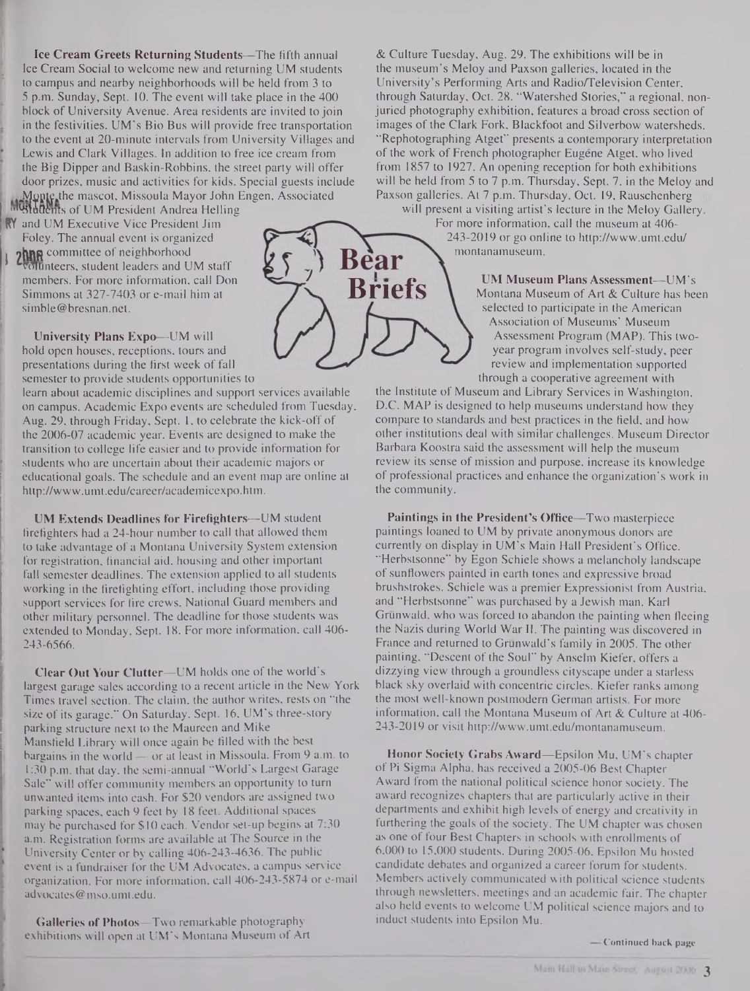**Ice Cream Greets Returning Students—**The fifth annual Ice Cream Social to welcome new and returning UM students to campus and nearby neighborhoods will be held from 3 to 5 p.m. Sunday, Sept. 10. The event will take place in the 400 block of University Avenue. Area residents are invited to join in the festivities. UM's Bio Bus will provide free transportation to the event at 20-minute intervals from University Villages and Lewis and Clark Villages. In addition to free ice cream from the Big Dipper and Baskin-Robbins, the street party will offer door prizes, music and activities for kids. Special guests include Monte the mascot, Missoula Mayor John Engen, Associated

**INGURDENTS of UM President Andrea Helling** RY and UM Executive Vice President Jim Foley. The annual event is organized 2hnR committee of neighborhood olunteers, student leaders and UM staff members. For more information, call Don Simmons at 327-7403 or e-mail him at members. For more information, call Don<br>Simmons at 327-7403 or e-mail him at [simble@bresnan.net](mailto:simble@bresnan.net).

**University Plans Expo—UM** will hold open houses, receptions, tours and presentations during the first week of fall semester to provide students opportunities to

learn about academic disciplines and support services available on campus. Academic Expo events are scheduled from Tuesday, Aug. 29, through Friday, Sept. 1, to celebrate the kick-off of the 2006-07 academic year. Events are designed to make the transition to college life easier and to provide information for students who are uncertain about their academic majors or educational goals. The schedule and an event map are online at <http://www.umt.edu/career/academicexpo.htm>.

**UM Extends Deadlines for Firefighters—UM** student firefighters had a 24-hour number to call that allowed them to take advantage of a Montana University System extension for registration, financial aid, housing and other important fall semester deadlines. The extension applied to all students working in the firefighting effort, including those providing support services for fire crews, National Guard members and other military personnel. The deadline for those students was extended to Monday, Sept. 18. For more information, call 406- 243-6566.

**Clear Out Your Clutter—**UM holds one of the world's largest garage sales according to a recent article in the New York Times travel section. The claim, the author writes, rests on "the size of its garage." On Saturday, Sept. 16, UM's three-story parking structure next to the Maureen and Mike Mansfield Library will once again be filled with the best bargains in the world — or at least in Missoula. From 9 a.m. to 1:30 p.m. that day, the semi-annual "World's Largest Garage Sale" will offer community members an opportunity to turn unwanted items into cash. For \$20 vendors are assigned two parking spaces, each 9 feet by 18 feet. Additional spaces may be purchased for \$10 each. Vendor set-up begins at 7:30 a.m. Registration forms are available at The Source in the University Center or by calling 406-243-4636. The public event is a fundraiser for the UM Advocates, a campus service organization. For more information, call 406-243-5874 or e-mail [advocates@mso.umt.edu](mailto:advocates@mso.umt.edu).

**Galleries of Photos—**Two remarkable photography exhibitions will open at UM's Montana Museum of Art & Culture Tuesday, Aug. 29. The exhibitions will be in the museum's Meloy and Paxson galleries, located in the University's Performing Arts and Radio/Television Center, through Saturday, Oct. 28. "Watershed Stories," a regional, nonjuried photography exhibition, features a broad cross section of images of the Clark Fork, Blackfoot and Silverbow watersheds. "Rephotographing Atget" presents a contemporary interpretation of the work of French photographer Eugene Atget, who lived from 1857 to 1927. An opening reception for both exhibitions will be held from 5 to 7 p.m. Thursday, Sept. 7, in the Meloy and Paxson galleries. At 7 p.m. Thursday, Oct. 19, Rauschenberg will present a visiting artist's lecture in the Meloy Gallery.

For more information, call the museum at 406- 243-2019 or go online to <http://www.umt.edu/> montanamuseum.

> **UM Museum Plans Assessment—UM's** Montana Museum of Art & Culture has been selected to participate in the American Association of Museums' Museum Assessment Program (MAP). This twoyear program involves self-study, peer review and implementation supported through a cooperative agreement with

the Institute of Museum and Library Services in Washington, D.C. MAP is designed to help museums understand how they compare to standards and best practices in the field, and how other institutions deal with similar challenges. Museum Director Barbara Koostra said the assessment will help the museum review its sense of mission and purpose, increase its knowledge of professional practices and enhance the organization's work in the community.

**Paintings in the President's Office—**Two masterpiece paintings loaned to UM by private anonymous donors are currently on display in UM's Main Hall President's Office. "Herbstsonne" by Egon Schiele shows a melancholy landscape of sunflowers painted in earth tones and expressive broad brushstrokes. Schiele was a premier Expressionist from Austria, and "Herbstsonne" was purchased by a Jewish man, Karl Grunwald, who was forced to abandon the painting when fleeing the Nazis during World War II. The painting was discovered in France and returned to Grunwald's family in 2005. The other painting, "Descent of the Soul" by Anselm Kiefer, offers a dizzying view through a groundless cityscape under a starless black sky overlaid with concentric circles. Kiefer ranks among the most well-known postmodern German artists. For more information, call the Montana Museum of Art & Culture at 406- 243-2019 or visit <http://www.umt.edu/montanamuseum>.

**Honor Society Grabs Award—**Epsilon Mu, UM's chapter of Pi Sigma Alpha, has received a 2005-06 Best Chapter Award from the national political science honor society. The award recognizes chapters that are particularly active in their departments and exhibit high levels of energy and creativity in furthering the goals of the society. The UM chapter was chosen as one of four Best Chapters in schools with enrollments of 6,000 to 15,000 students. During 2005-06, Epsilon Mu hosted candidate debates and organized a career forum for students. Members actively communicated with political science students through newsletters, meetings and an academic fair. The chapter also held events to welcome UM political science majors and to induct students into Epsilon Mu.